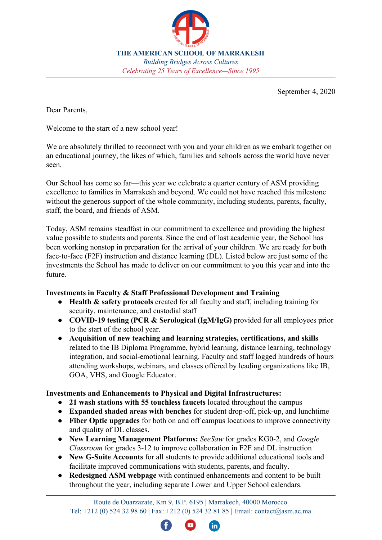

**THE AMERICAN SCHOOL OF MARRAKESH** *Building Bridges Across Cultures Celebrating 25 Years of Excellence—Since 1995*

September 4, 2020

Dear Parents,

Welcome to the start of a new school year!

We are absolutely thrilled to reconnect with you and your children as we embark together on an educational journey, the likes of which, families and schools across the world have never seen.

Our School has come so far—this year we celebrate a quarter century of ASM providing excellence to families in Marrakesh and beyond. We could not have reached this milestone without the generous support of the whole community, including students, parents, faculty, staff, the board, and friends of ASM.

Today, ASM remains steadfast in our commitment to excellence and providing the highest value possible to students and parents. Since the end of last academic year, the School has been working nonstop in preparation for the arrival of your children. We are ready for both face-to-face (F2F) instruction and distance learning (DL). Listed below are just some of the investments the School has made to deliver on our commitment to you this year and into the future.

## **Investments in Faculty & Staff Professional Development and Training**

- **Health & safety protocols** created for all faculty and staff, including training for security, maintenance, and custodial staff
- **COVID-19 testing (PCR & Serological (IgM/IgG)** provided for all employees prior to the start of the school year.
- **Acquisition of new teaching and learning strategies, certifications, and skills** related to the IB Diploma Programme, hybrid learning, distance learning, technology integration, and social-emotional learning. Faculty and staff logged hundreds of hours attending workshops, webinars, and classes offered by leading organizations like IB, GOA, VHS, and Google Educator.

## **Investments and Enhancements to Physical and Digital Infrastructures:**

- **21 wash stations with 55 touchless faucets** located throughout the campus
- **Expanded shaded areas with benches** for student drop-off, pick-up, and lunchtime
- **Fiber Optic upgrades** for both on and off campus locations to improve connectivity and quality of DL classes.
- **New Learning Management Platforms:** *SeeSaw* for grades KG0-2, and *Google Classroom* for grades 3-12 to improve collaboration in F2F and DL instruction
- **New G-Suite Accounts** for all students to provide additional educational tools and facilitate improved communications with students, parents, and faculty.
- **Redesigned ASM webpage** with continued enhancements and content to be built throughout the year, including separate Lower and Upper School calendars.